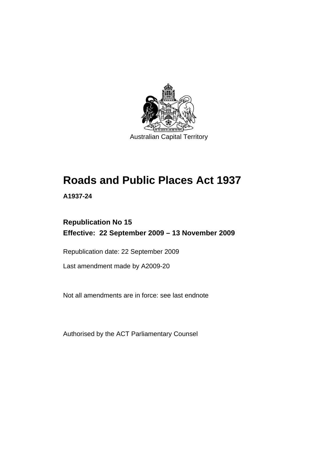

# **[Roads and Public Places Act 1937](#page-6-0)**

**A1937-24** 

## **Republication No 15 Effective: 22 September 2009 – 13 November 2009**

Republication date: 22 September 2009

Last amendment made by A2009-20

Not all amendments are in force: see last endnote

Authorised by the ACT Parliamentary Counsel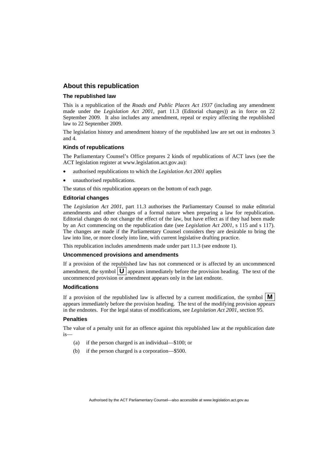## **About this republication**

#### **The republished law**

This is a republication of the *Roads and Public Places Act 1937* (including any amendment made under the *Legislation Act 2001*, part 11.3 (Editorial changes)) as in force on 22 September 2009*.* It also includes any amendment, repeal or expiry affecting the republished law to 22 September 2009.

The legislation history and amendment history of the republished law are set out in endnotes 3 and 4.

#### **Kinds of republications**

The Parliamentary Counsel's Office prepares 2 kinds of republications of ACT laws (see the ACT legislation register at www.legislation.act.gov.au):

- authorised republications to which the *Legislation Act 2001* applies
- unauthorised republications.

The status of this republication appears on the bottom of each page.

#### **Editorial changes**

The *Legislation Act 2001*, part 11.3 authorises the Parliamentary Counsel to make editorial amendments and other changes of a formal nature when preparing a law for republication. Editorial changes do not change the effect of the law, but have effect as if they had been made by an Act commencing on the republication date (see *Legislation Act 2001*, s 115 and s 117). The changes are made if the Parliamentary Counsel considers they are desirable to bring the law into line, or more closely into line, with current legislative drafting practice.

This republication includes amendments made under part 11.3 (see endnote 1).

#### **Uncommenced provisions and amendments**

If a provision of the republished law has not commenced or is affected by an uncommenced amendment, the symbol  $\mathbf{U}$  appears immediately before the provision heading. The text of the uncommenced provision or amendment appears only in the last endnote.

#### **Modifications**

If a provision of the republished law is affected by a current modification, the symbol  $\mathbf{M}$ appears immediately before the provision heading. The text of the modifying provision appears in the endnotes. For the legal status of modifications, see *Legislation Act 2001*, section 95.

#### **Penalties**

The value of a penalty unit for an offence against this republished law at the republication date is—

- (a) if the person charged is an individual—\$100; or
- (b) if the person charged is a corporation—\$500.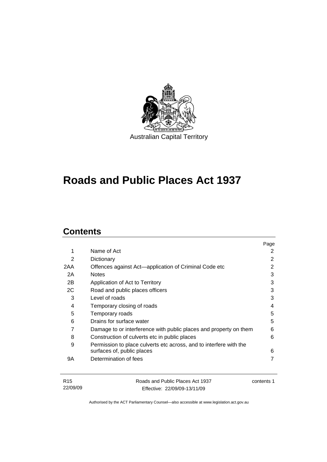

## **[Roads and Public Places Act 1937](#page-6-0)**

## **Contents**

|     |                                                                    | Page |
|-----|--------------------------------------------------------------------|------|
| 1   | Name of Act                                                        | 2    |
| 2   | Dictionary                                                         | 2    |
| 2AA | Offences against Act-application of Criminal Code etc              | 2    |
| 2A  | <b>Notes</b>                                                       | 3    |
| 2B  | Application of Act to Territory                                    | 3    |
| 2C  | Road and public places officers                                    | 3    |
| 3   | Level of roads                                                     | 3    |
| 4   | Temporary closing of roads                                         | 4    |
| 5   | Temporary roads                                                    | 5    |
| 6   | Drains for surface water                                           | 5    |
| 7   | Damage to or interference with public places and property on them  | 6    |
| 8   | Construction of culverts etc in public places                      | 6    |
| 9   | Permission to place culverts etc across, and to interfere with the |      |
|     | surfaces of, public places                                         | 6    |
| 9Α  | Determination of fees                                              |      |
|     |                                                                    |      |

| R15      | Roads and Public Places Act 1937 | contents 1 |
|----------|----------------------------------|------------|
| 22/09/09 | Effective: 22/09/09-13/11/09     |            |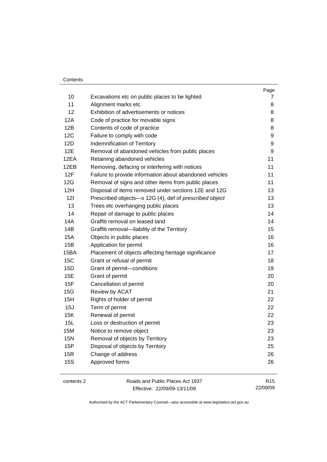#### **Contents**

|            |                                                         | Page |
|------------|---------------------------------------------------------|------|
| 10         | Excavations etc on public places to be lighted          | 7    |
| 11         | Alignment marks etc                                     | 8    |
| 12         | Exhibition of advertisements or notices                 | 8    |
| 12A        | Code of practice for movable signs                      | 8    |
| 12B        | Contents of code of practice                            | 8    |
| 12C        | Failure to comply with code                             | 9    |
| <b>12D</b> | Indemnification of Territory                            | 9    |
| 12E        | Removal of abandoned vehicles from public places        | 9    |
| 12EA       | Retaining abandoned vehicles                            | 11   |
| 12EB       | Removing, defacing or interfering with notices          | 11   |
| 12F        | Failure to provide information about abandoned vehicles | 11   |
| 12G        | Removal of signs and other items from public places     | 11   |
| 12H        | Disposal of items removed under sections 12E and 12G    | 13   |
| 121        | Prescribed objects-s 12G (4), def of prescribed object  | 13   |
| 13         | Trees etc overhanging public places                     | 13   |
| 14         | Repair of damage to public places                       | 14   |
| <b>14A</b> | Graffiti removal on leased land                         | 14   |
| 14B        | Graffiti removal-liability of the Territory             | 15   |
| <b>15A</b> | Objects in public places                                | 16   |
| 15B        | Application for permit                                  | 16   |
| 15BA       | Placement of objects affecting heritage significance    | 17   |
| <b>15C</b> | Grant or refusal of permit                              | 18   |
| 15D        | Grant of permit-conditions                              | 19   |
| <b>15E</b> | Grant of permit                                         | 20   |
| 15F        | Cancellation of permit                                  | 20   |
| 15G        | Review by ACAT                                          | 21   |
| 15H        | Rights of holder of permit                              | 22   |
| 15J        | Term of permit                                          | 22   |
| 15K        | Renewal of permit                                       | 22   |
| 15L        | Loss or destruction of permit                           | 23   |
| <b>15M</b> | Notice to remove object                                 | 23   |
| <b>15N</b> | Removal of objects by Territory                         | 23   |
| 15P        | Disposal of objects by Territory                        | 25   |
| 15R        | Change of address                                       | 26   |
| <b>15S</b> | Approved forms                                          | 26   |
|            |                                                         |      |
|            |                                                         |      |

contents 2 Roads and Public Places Act 1937 Effective: 22/09/09-13/11/09

R15 22/09/09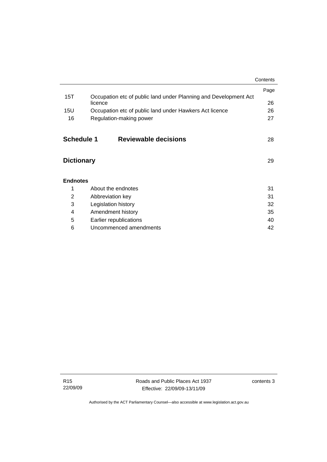|                   |                                                                  | Contents |
|-------------------|------------------------------------------------------------------|----------|
|                   |                                                                  | Page     |
| 15T               | Occupation etc of public land under Planning and Development Act |          |
|                   | licence                                                          | 26       |
| 15U               | Occupation etc of public land under Hawkers Act licence          | 26       |
| 16                | Regulation-making power                                          |          |
|                   |                                                                  |          |
| Schedule 1        | Reviewable decisions                                             | 28       |
|                   |                                                                  |          |
|                   |                                                                  |          |
| <b>Dictionary</b> |                                                                  | 29       |
|                   |                                                                  |          |
| <b>Endnotes</b>   |                                                                  |          |
| 1                 | About the endnotes                                               | 31       |
| 2                 | 31<br>Abbreviation key                                           |          |
| 3                 | 32<br>Legislation history                                        |          |
| 4                 | 35<br>Amendment history                                          |          |
| 5                 | Earlier republications                                           | 40       |
| 6                 | Uncommenced amendments<br>42                                     |          |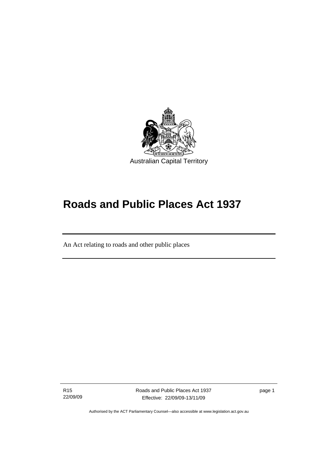<span id="page-6-0"></span>

## **Roads and Public Places Act 1937**

An Act relating to roads and other public places

R15 22/09/09

֖֚֚֚֬

Roads and Public Places Act 1937 Effective: 22/09/09-13/11/09

page 1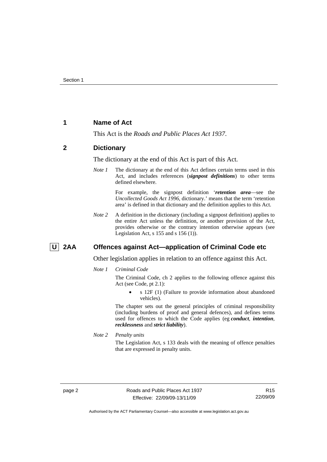## <span id="page-7-0"></span>**1 Name of Act**

This Act is the *Roads and Public Places Act 1937*.

## **2 Dictionary**

The dictionary at the end of this Act is part of this Act.

*Note 1* The dictionary at the end of this Act defines certain terms used in this Act, and includes references (*signpost definitions*) to other terms defined elsewhere.

> For example, the signpost definition '*retention area*—see the *Uncollected Goods Act 1996*, dictionary.' means that the term 'retention area' is defined in that dictionary and the definition applies to this Act.

*Note 2* A definition in the dictionary (including a signpost definition) applies to the entire Act unless the definition, or another provision of the Act, provides otherwise or the contrary intention otherwise appears (see Legislation Act,  $s$  155 and  $s$  156 (1)).

## **U** 2AA Offences against Act—application of Criminal Code etc

Other legislation applies in relation to an offence against this Act.

*Note 1 Criminal Code*

The Criminal Code, ch 2 applies to the following offence against this Act (see Code, pt 2.1):

• s 12F (1) (Failure to provide information about abandoned vehicles).

The chapter sets out the general principles of criminal responsibility (including burdens of proof and general defences), and defines terms used for offences to which the Code applies (eg *conduct*, *intention*, *recklessness* and *strict liability*).

*Note 2 Penalty units* 

The Legislation Act, s 133 deals with the meaning of offence penalties that are expressed in penalty units.

Authorised by the ACT Parliamentary Counsel—also accessible at www.legislation.act.gov.au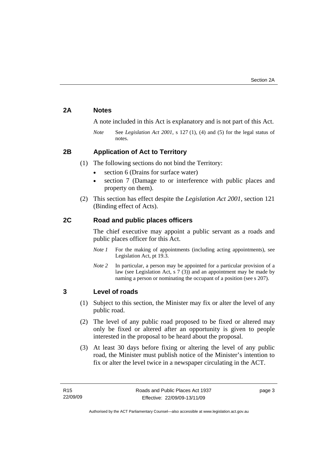## <span id="page-8-0"></span>**2A Notes**

A note included in this Act is explanatory and is not part of this Act.

*Note* See *Legislation Act 2001*, s 127 (1), (4) and (5) for the legal status of notes.

## **2B Application of Act to Territory**

- (1) The following sections do not bind the Territory:
	- section 6 (Drains for surface water)
	- section 7 (Damage to or interference with public places and property on them).
- (2) This section has effect despite the *Legislation Act 2001*, section 121 (Binding effect of Acts).

## **2C Road and public places officers**

The chief executive may appoint a public servant as a roads and public places officer for this Act.

- *Note 1* For the making of appointments (including acting appointments), see Legislation Act, pt 19.3.
- *Note 2* In particular, a person may be appointed for a particular provision of a law (see Legislation Act, s 7 (3)) and an appointment may be made by naming a person or nominating the occupant of a position (see s 207).

## **3 Level of roads**

- (1) Subject to this section, the Minister may fix or alter the level of any public road.
- (2) The level of any public road proposed to be fixed or altered may only be fixed or altered after an opportunity is given to people interested in the proposal to be heard about the proposal.
- (3) At least 30 days before fixing or altering the level of any public road, the Minister must publish notice of the Minister's intention to fix or alter the level twice in a newspaper circulating in the ACT.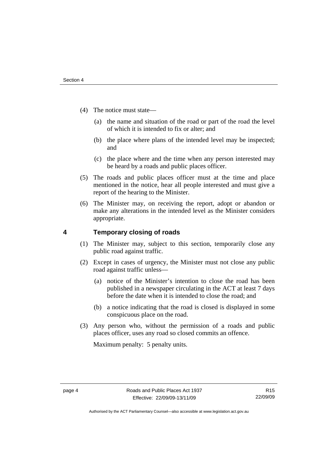- <span id="page-9-0"></span> (4) The notice must state—
	- (a) the name and situation of the road or part of the road the level of which it is intended to fix or alter; and
	- (b) the place where plans of the intended level may be inspected; and
	- (c) the place where and the time when any person interested may be heard by a roads and public places officer.
- (5) The roads and public places officer must at the time and place mentioned in the notice, hear all people interested and must give a report of the hearing to the Minister.
- (6) The Minister may, on receiving the report, adopt or abandon or make any alterations in the intended level as the Minister considers appropriate.

## **4 Temporary closing of roads**

- (1) The Minister may, subject to this section, temporarily close any public road against traffic.
- (2) Except in cases of urgency, the Minister must not close any public road against traffic unless—
	- (a) notice of the Minister's intention to close the road has been published in a newspaper circulating in the ACT at least 7 days before the date when it is intended to close the road; and
	- (b) a notice indicating that the road is closed is displayed in some conspicuous place on the road.
- (3) Any person who, without the permission of a roads and public places officer, uses any road so closed commits an offence.

Maximum penalty: 5 penalty units.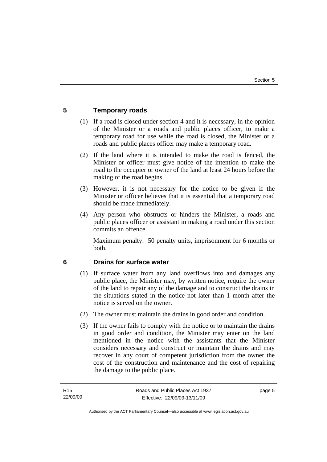## <span id="page-10-0"></span>**5 Temporary roads**

- (1) If a road is closed under section 4 and it is necessary, in the opinion of the Minister or a roads and public places officer, to make a temporary road for use while the road is closed, the Minister or a roads and public places officer may make a temporary road.
- (2) If the land where it is intended to make the road is fenced, the Minister or officer must give notice of the intention to make the road to the occupier or owner of the land at least 24 hours before the making of the road begins.
- (3) However, it is not necessary for the notice to be given if the Minister or officer believes that it is essential that a temporary road should be made immediately.
- (4) Any person who obstructs or hinders the Minister, a roads and public places officer or assistant in making a road under this section commits an offence.

Maximum penalty: 50 penalty units, imprisonment for 6 months or both.

## **6 Drains for surface water**

- (1) If surface water from any land overflows into and damages any public place, the Minister may, by written notice, require the owner of the land to repair any of the damage and to construct the drains in the situations stated in the notice not later than 1 month after the notice is served on the owner.
- (2) The owner must maintain the drains in good order and condition.
- (3) If the owner fails to comply with the notice or to maintain the drains in good order and condition, the Minister may enter on the land mentioned in the notice with the assistants that the Minister considers necessary and construct or maintain the drains and may recover in any court of competent jurisdiction from the owner the cost of the construction and maintenance and the cost of repairing the damage to the public place.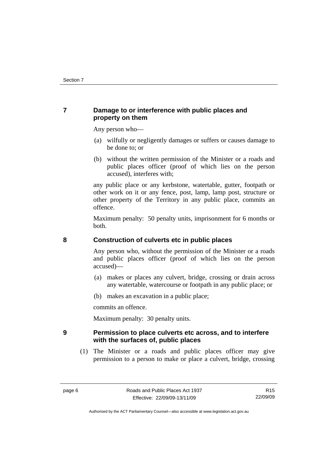## <span id="page-11-0"></span>**7 Damage to or interference with public places and property on them**

Any person who—

- (a) wilfully or negligently damages or suffers or causes damage to be done to; or
- (b) without the written permission of the Minister or a roads and public places officer (proof of which lies on the person accused), interferes with;

any public place or any kerbstone, watertable, gutter, footpath or other work on it or any fence, post, lamp, lamp post, structure or other property of the Territory in any public place, commits an offence.

Maximum penalty: 50 penalty units, imprisonment for 6 months or both.

## **8 Construction of culverts etc in public places**

Any person who, without the permission of the Minister or a roads and public places officer (proof of which lies on the person accused)—

- (a) makes or places any culvert, bridge, crossing or drain across any watertable, watercourse or footpath in any public place; or
- (b) makes an excavation in a public place;

commits an offence.

Maximum penalty: 30 penalty units.

## **9 Permission to place culverts etc across, and to interfere with the surfaces of, public places**

 (1) The Minister or a roads and public places officer may give permission to a person to make or place a culvert, bridge, crossing

Authorised by the ACT Parliamentary Counsel—also accessible at www.legislation.act.gov.au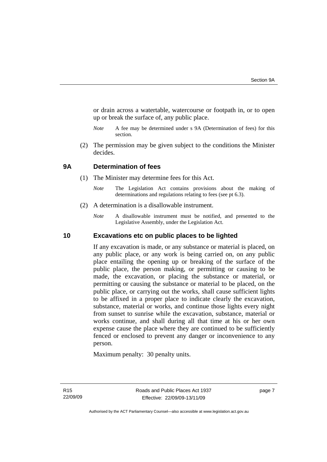<span id="page-12-0"></span>or drain across a watertable, watercourse or footpath in, or to open up or break the surface of, any public place.

- *Note* A fee may be determined under s 9A (Determination of fees) for this section.
- (2) The permission may be given subject to the conditions the Minister decides.

## **9A Determination of fees**

- (1) The Minister may determine fees for this Act.
	- *Note* The Legislation Act contains provisions about the making of determinations and regulations relating to fees (see pt 6.3).
- (2) A determination is a disallowable instrument.
	- *Note* A disallowable instrument must be notified, and presented to the Legislative Assembly, under the Legislation Act.

## **10 Excavations etc on public places to be lighted**

If any excavation is made, or any substance or material is placed, on any public place, or any work is being carried on, on any public place entailing the opening up or breaking of the surface of the public place, the person making, or permitting or causing to be made, the excavation, or placing the substance or material, or permitting or causing the substance or material to be placed, on the public place, or carrying out the works, shall cause sufficient lights to be affixed in a proper place to indicate clearly the excavation, substance, material or works, and continue those lights every night from sunset to sunrise while the excavation, substance, material or works continue, and shall during all that time at his or her own expense cause the place where they are continued to be sufficiently fenced or enclosed to prevent any danger or inconvenience to any person.

Maximum penalty: 30 penalty units.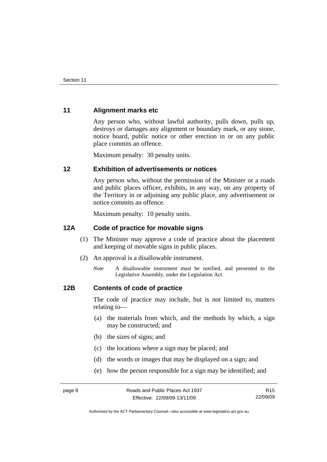## <span id="page-13-0"></span>**11 Alignment marks etc**

Any person who, without lawful authority, pulls down, pulls up, destroys or damages any alignment or boundary mark, or any stone, notice board, public notice or other erection in or on any public place commits an offence.

Maximum penalty: 30 penalty units.

## **12 Exhibition of advertisements or notices**

Any person who, without the permission of the Minister or a roads and public places officer, exhibits, in any way, on any property of the Territory in or adjoining any public place, any advertisement or notice commits an offence.

Maximum penalty: 10 penalty units.

## **12A Code of practice for movable signs**

- (1) The Minister may approve a code of practice about the placement and keeping of movable signs in public places.
- (2) An approval is a disallowable instrument.
	- *Note* A disallowable instrument must be notified, and presented to the Legislative Assembly, under the Legislation Act.

## **12B Contents of code of practice**

The code of practice may include, but is not limited to, matters relating to—

- (a) the materials from which, and the methods by which, a sign may be constructed; and
- (b) the sizes of signs; and
- (c) the locations where a sign may be placed; and
- (d) the words or images that may be displayed on a sign; and
- (e) how the person responsible for a sign may be identified; and

Authorised by the ACT Parliamentary Counsel—also accessible at www.legislation.act.gov.au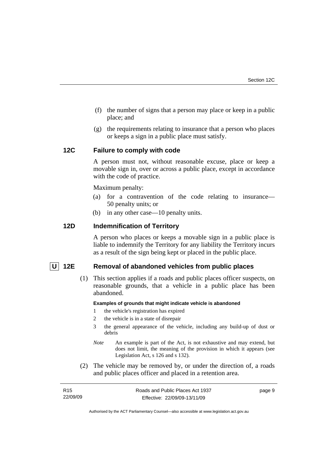- <span id="page-14-0"></span> (f) the number of signs that a person may place or keep in a public place; and
- (g) the requirements relating to insurance that a person who places or keeps a sign in a public place must satisfy.

## **12C Failure to comply with code**

A person must not, without reasonable excuse, place or keep a movable sign in, over or across a public place, except in accordance with the code of practice.

Maximum penalty:

- (a) for a contravention of the code relating to insurance— 50 penalty units; or
- (b) in any other case—10 penalty units.

## **12D Indemnification of Territory**

A person who places or keeps a movable sign in a public place is liable to indemnify the Territory for any liability the Territory incurs as a result of the sign being kept or placed in the public place.

## **U 12E Removal of abandoned vehicles from public places**

 (1) This section applies if a roads and public places officer suspects, on reasonable grounds, that a vehicle in a public place has been abandoned.

#### **Examples of grounds that might indicate vehicle is abandoned**

- 1 the vehicle's registration has expired
- 2 the vehicle is in a state of disrepair
- 3 the general appearance of the vehicle, including any build-up of dust or debris
- *Note* An example is part of the Act, is not exhaustive and may extend, but does not limit, the meaning of the provision in which it appears (see Legislation Act, s 126 and s 132).
- (2) The vehicle may be removed by, or under the direction of, a roads and public places officer and placed in a retention area.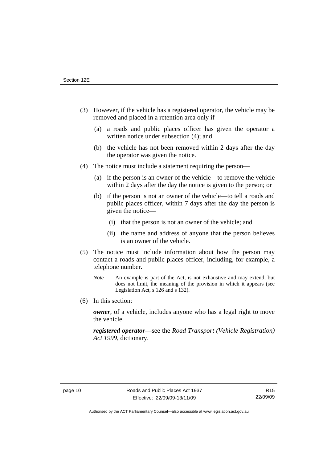- (3) However, if the vehicle has a registered operator, the vehicle may be removed and placed in a retention area only if—
	- (a) a roads and public places officer has given the operator a written notice under subsection (4); and
	- (b) the vehicle has not been removed within 2 days after the day the operator was given the notice.
- (4) The notice must include a statement requiring the person—
	- (a) if the person is an owner of the vehicle—to remove the vehicle within 2 days after the day the notice is given to the person; or
	- (b) if the person is not an owner of the vehicle—to tell a roads and public places officer, within 7 days after the day the person is given the notice—
		- (i) that the person is not an owner of the vehicle; and
		- (ii) the name and address of anyone that the person believes is an owner of the vehicle.
- (5) The notice must include information about how the person may contact a roads and public places officer, including, for example, a telephone number.
	- *Note* An example is part of the Act, is not exhaustive and may extend, but does not limit, the meaning of the provision in which it appears (see Legislation Act, s 126 and s 132).
- (6) In this section:

*owner*, of a vehicle, includes anyone who has a legal right to move the vehicle.

*registered operator*—see the *Road Transport (Vehicle Registration) Act 1999*, dictionary.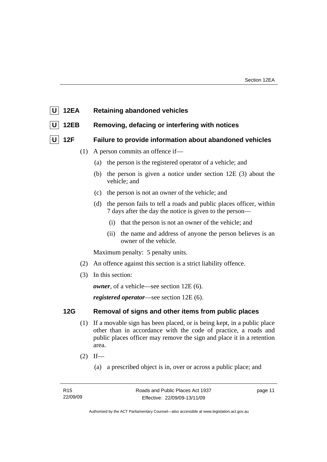<span id="page-16-0"></span>

**U** 12EB Removing, defacing or interfering with notices

## **U 12F Failure to provide information about abandoned vehicles**

- (1) A person commits an offence if—
	- (a) the person is the registered operator of a vehicle; and
	- (b) the person is given a notice under section 12E (3) about the vehicle; and
	- (c) the person is not an owner of the vehicle; and
	- (d) the person fails to tell a roads and public places officer, within 7 days after the day the notice is given to the person—
		- (i) that the person is not an owner of the vehicle; and
		- (ii) the name and address of anyone the person believes is an owner of the vehicle.

Maximum penalty: 5 penalty units.

- (2) An offence against this section is a strict liability offence.
- (3) In this section:

*owner*, of a vehicle—see section 12E (6).

*registered operator*—see section 12E (6).

## **12G Removal of signs and other items from public places**

- (1) If a movable sign has been placed, or is being kept, in a public place other than in accordance with the code of practice, a roads and public places officer may remove the sign and place it in a retention area.
- $(2)$  If—
	- (a) a prescribed object is in, over or across a public place; and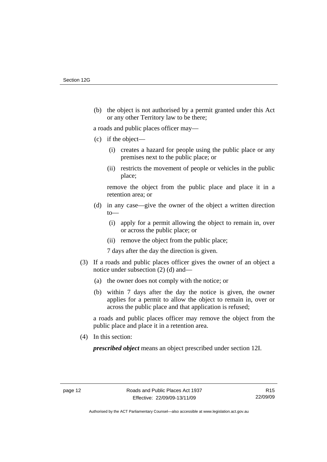(b) the object is not authorised by a permit granted under this Act or any other Territory law to be there;

a roads and public places officer may—

- (c) if the object—
	- (i) creates a hazard for people using the public place or any premises next to the public place; or
	- (ii) restricts the movement of people or vehicles in the public place;

remove the object from the public place and place it in a retention area; or

- (d) in any case—give the owner of the object a written direction to—
	- (i) apply for a permit allowing the object to remain in, over or across the public place; or
	- (ii) remove the object from the public place;

7 days after the day the direction is given.

- (3) If a roads and public places officer gives the owner of an object a notice under subsection (2) (d) and—
	- (a) the owner does not comply with the notice; or
	- (b) within 7 days after the day the notice is given, the owner applies for a permit to allow the object to remain in, over or across the public place and that application is refused;

a roads and public places officer may remove the object from the public place and place it in a retention area.

(4) In this section:

*prescribed object* means an object prescribed under section 12I.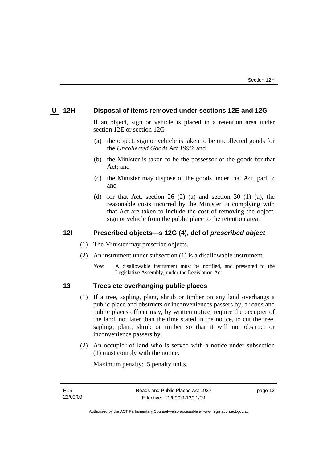## <span id="page-18-0"></span> **U 12H Disposal of items removed under sections 12E and 12G**

If an object, sign or vehicle is placed in a retention area under section 12E or section 12G—

- (a) the object, sign or vehicle is taken to be uncollected goods for the *Uncollected Goods Act 1996*; and
- (b) the Minister is taken to be the possessor of the goods for that Act; and
- (c) the Minister may dispose of the goods under that Act, part 3; and
- (d) for that Act, section  $26$  (2) (a) and section  $30$  (1) (a), the reasonable costs incurred by the Minister in complying with that Act are taken to include the cost of removing the object, sign or vehicle from the public place to the retention area.

## **12I Prescribed objects—s 12G (4), def of** *prescribed object*

- (1) The Minister may prescribe objects.
- (2) An instrument under subsection (1) is a disallowable instrument.
	- *Note* A disallowable instrument must be notified, and presented to the Legislative Assembly, under the Legislation Act.

## **13 Trees etc overhanging public places**

- (1) If a tree, sapling, plant, shrub or timber on any land overhangs a public place and obstructs or inconveniences passers by, a roads and public places officer may, by written notice, require the occupier of the land, not later than the time stated in the notice, to cut the tree, sapling, plant, shrub or timber so that it will not obstruct or inconvenience passers by.
- (2) An occupier of land who is served with a notice under subsection (1) must comply with the notice.

Maximum penalty: 5 penalty units.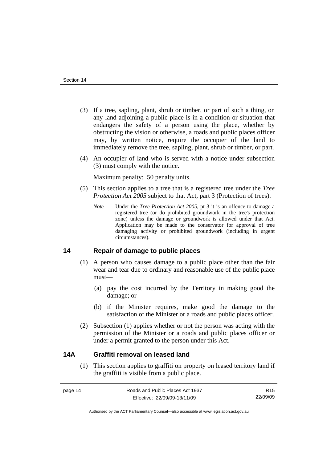- <span id="page-19-0"></span> (3) If a tree, sapling, plant, shrub or timber, or part of such a thing, on any land adjoining a public place is in a condition or situation that endangers the safety of a person using the place, whether by obstructing the vision or otherwise, a roads and public places officer may, by written notice, require the occupier of the land to immediately remove the tree, sapling, plant, shrub or timber, or part.
- (4) An occupier of land who is served with a notice under subsection (3) must comply with the notice.

Maximum penalty: 50 penalty units.

- (5) This section applies to a tree that is a registered tree under the *Tree Protection Act 2005* subject to that Act, part 3 (Protection of trees).
	- *Note* Under the *Tree Protection Act 2005*, pt 3 it is an offence to damage a registered tree (or do prohibited groundwork in the tree's protection zone) unless the damage or groundwork is allowed under that Act. Application may be made to the conservator for approval of tree damaging activity or prohibited groundwork (including in urgent circumstances).

## **14 Repair of damage to public places**

- (1) A person who causes damage to a public place other than the fair wear and tear due to ordinary and reasonable use of the public place must—
	- (a) pay the cost incurred by the Territory in making good the damage; or
	- (b) if the Minister requires, make good the damage to the satisfaction of the Minister or a roads and public places officer.
- (2) Subsection (1) applies whether or not the person was acting with the permission of the Minister or a roads and public places officer or under a permit granted to the person under this Act.

## **14A Graffiti removal on leased land**

 (1) This section applies to graffiti on property on leased territory land if the graffiti is visible from a public place.

R15 22/09/09

Authorised by the ACT Parliamentary Counsel—also accessible at www.legislation.act.gov.au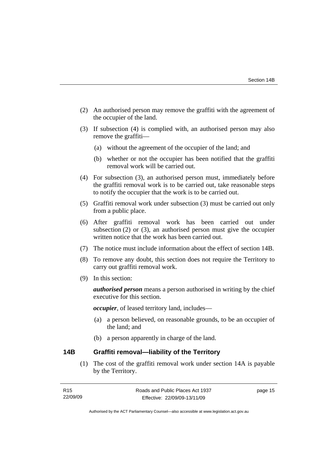- <span id="page-20-0"></span> (2) An authorised person may remove the graffiti with the agreement of the occupier of the land.
- (3) If subsection (4) is complied with, an authorised person may also remove the graffiti—
	- (a) without the agreement of the occupier of the land; and
	- (b) whether or not the occupier has been notified that the graffiti removal work will be carried out.
- (4) For subsection (3), an authorised person must, immediately before the graffiti removal work is to be carried out, take reasonable steps to notify the occupier that the work is to be carried out.
- (5) Graffiti removal work under subsection (3) must be carried out only from a public place.
- (6) After graffiti removal work has been carried out under subsection (2) or (3), an authorised person must give the occupier written notice that the work has been carried out.
- (7) The notice must include information about the effect of section 14B.
- (8) To remove any doubt, this section does not require the Territory to carry out graffiti removal work.
- (9) In this section:

*authorised person* means a person authorised in writing by the chief executive for this section.

*occupier*, of leased territory land, includes—

- (a) a person believed, on reasonable grounds, to be an occupier of the land; and
- (b) a person apparently in charge of the land.

## **14B Graffiti removal—liability of the Territory**

 (1) The cost of the graffiti removal work under section 14A is payable by the Territory.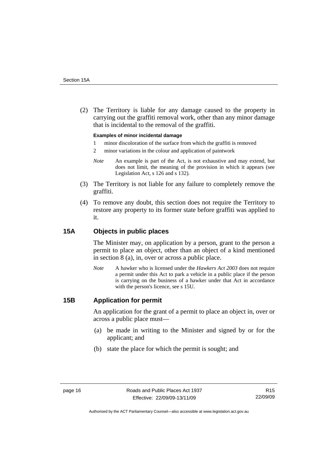<span id="page-21-0"></span> (2) The Territory is liable for any damage caused to the property in carrying out the graffiti removal work, other than any minor damage that is incidental to the removal of the graffiti.

#### **Examples of minor incidental damage**

- 1 minor discoloration of the surface from which the graffiti is removed
- 2 minor variations in the colour and application of paintwork
- *Note* An example is part of the Act, is not exhaustive and may extend, but does not limit, the meaning of the provision in which it appears (see Legislation Act, s 126 and s 132).
- (3) The Territory is not liable for any failure to completely remove the graffiti.
- (4) To remove any doubt, this section does not require the Territory to restore any property to its former state before graffiti was applied to it.

### **15A Objects in public places**

The Minister may, on application by a person, grant to the person a permit to place an object, other than an object of a kind mentioned in section 8 (a), in, over or across a public place.

*Note* A hawker who is licensed under the *Hawkers Act 2003* does not require a permit under this Act to park a vehicle in a public place if the person is carrying on the business of a hawker under that Act in accordance with the person's licence, see s 15U.

## **15B Application for permit**

An application for the grant of a permit to place an object in, over or across a public place must—

- (a) be made in writing to the Minister and signed by or for the applicant; and
- (b) state the place for which the permit is sought; and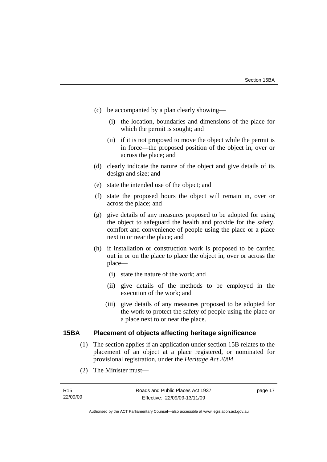- <span id="page-22-0"></span> (c) be accompanied by a plan clearly showing—
	- (i) the location, boundaries and dimensions of the place for which the permit is sought; and
	- (ii) if it is not proposed to move the object while the permit is in force—the proposed position of the object in, over or across the place; and
- (d) clearly indicate the nature of the object and give details of its design and size; and
- (e) state the intended use of the object; and
- (f) state the proposed hours the object will remain in, over or across the place; and
- (g) give details of any measures proposed to be adopted for using the object to safeguard the health and provide for the safety, comfort and convenience of people using the place or a place next to or near the place; and
- (h) if installation or construction work is proposed to be carried out in or on the place to place the object in, over or across the place—
	- (i) state the nature of the work; and
	- (ii) give details of the methods to be employed in the execution of the work; and
	- (iii) give details of any measures proposed to be adopted for the work to protect the safety of people using the place or a place next to or near the place.

## **15BA Placement of objects affecting heritage significance**

- (1) The section applies if an application under section 15B relates to the placement of an object at a place registered, or nominated for provisional registration, under the *Heritage Act 2004*.
- (2) The Minister must—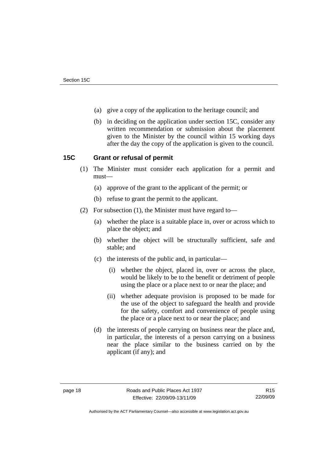- <span id="page-23-0"></span>(a) give a copy of the application to the heritage council; and
- (b) in deciding on the application under section 15C, consider any written recommendation or submission about the placement given to the Minister by the council within 15 working days after the day the copy of the application is given to the council.

## **15C Grant or refusal of permit**

- (1) The Minister must consider each application for a permit and must—
	- (a) approve of the grant to the applicant of the permit; or
	- (b) refuse to grant the permit to the applicant.
- (2) For subsection (1), the Minister must have regard to—
	- (a) whether the place is a suitable place in, over or across which to place the object; and
	- (b) whether the object will be structurally sufficient, safe and stable; and
	- (c) the interests of the public and, in particular—
		- (i) whether the object, placed in, over or across the place, would be likely to be to the benefit or detriment of people using the place or a place next to or near the place; and
		- (ii) whether adequate provision is proposed to be made for the use of the object to safeguard the health and provide for the safety, comfort and convenience of people using the place or a place next to or near the place; and
	- (d) the interests of people carrying on business near the place and, in particular, the interests of a person carrying on a business near the place similar to the business carried on by the applicant (if any); and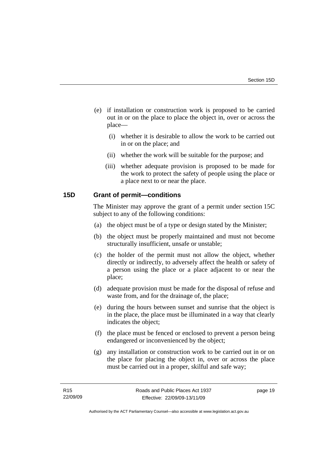- <span id="page-24-0"></span> (e) if installation or construction work is proposed to be carried out in or on the place to place the object in, over or across the place—
	- (i) whether it is desirable to allow the work to be carried out in or on the place; and
	- (ii) whether the work will be suitable for the purpose; and
	- (iii) whether adequate provision is proposed to be made for the work to protect the safety of people using the place or a place next to or near the place.

## **15D Grant of permit—conditions**

The Minister may approve the grant of a permit under section 15C subject to any of the following conditions:

- (a) the object must be of a type or design stated by the Minister;
- (b) the object must be properly maintained and must not become structurally insufficient, unsafe or unstable;
- (c) the holder of the permit must not allow the object, whether directly or indirectly, to adversely affect the health or safety of a person using the place or a place adjacent to or near the place;
- (d) adequate provision must be made for the disposal of refuse and waste from, and for the drainage of, the place;
- (e) during the hours between sunset and sunrise that the object is in the place, the place must be illuminated in a way that clearly indicates the object;
- (f) the place must be fenced or enclosed to prevent a person being endangered or inconvenienced by the object;
- (g) any installation or construction work to be carried out in or on the place for placing the object in, over or across the place must be carried out in a proper, skilful and safe way;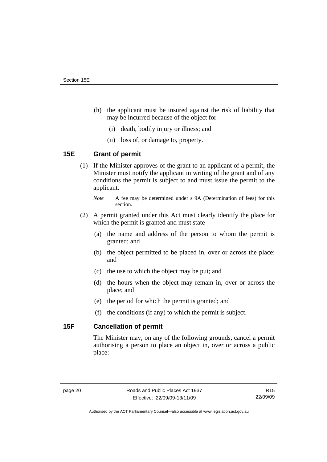- <span id="page-25-0"></span> (h) the applicant must be insured against the risk of liability that may be incurred because of the object for—
	- (i) death, bodily injury or illness; and
	- (ii) loss of, or damage to, property.

## **15E Grant of permit**

- (1) If the Minister approves of the grant to an applicant of a permit, the Minister must notify the applicant in writing of the grant and of any conditions the permit is subject to and must issue the permit to the applicant.
	- *Note* A fee may be determined under s 9A (Determination of fees) for this section.
- (2) A permit granted under this Act must clearly identify the place for which the permit is granted and must state—
	- (a) the name and address of the person to whom the permit is granted; and
	- (b) the object permitted to be placed in, over or across the place; and
	- (c) the use to which the object may be put; and
	- (d) the hours when the object may remain in, over or across the place; and
	- (e) the period for which the permit is granted; and
	- (f) the conditions (if any) to which the permit is subject.

## **15F Cancellation of permit**

The Minister may, on any of the following grounds, cancel a permit authorising a person to place an object in, over or across a public place: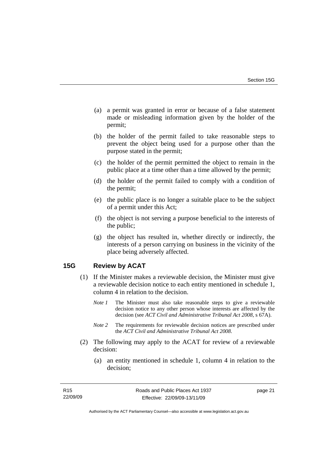- <span id="page-26-0"></span> (a) a permit was granted in error or because of a false statement made or misleading information given by the holder of the permit;
- (b) the holder of the permit failed to take reasonable steps to prevent the object being used for a purpose other than the purpose stated in the permit;
- (c) the holder of the permit permitted the object to remain in the public place at a time other than a time allowed by the permit;
- (d) the holder of the permit failed to comply with a condition of the permit;
- (e) the public place is no longer a suitable place to be the subject of a permit under this Act;
- (f) the object is not serving a purpose beneficial to the interests of the public;
- (g) the object has resulted in, whether directly or indirectly, the interests of a person carrying on business in the vicinity of the place being adversely affected.

## **15G Review by ACAT**

- (1) If the Minister makes a reviewable decision, the Minister must give a reviewable decision notice to each entity mentioned in schedule 1, column 4 in relation to the decision.
	- *Note 1* The Minister must also take reasonable steps to give a reviewable decision notice to any other person whose interests are affected by the decision (see *ACT Civil and Administrative Tribunal Act 2008*, s 67A).
	- *Note 2* The requirements for reviewable decision notices are prescribed under the *ACT Civil and Administrative Tribunal Act 2008*.
- (2) The following may apply to the ACAT for review of a reviewable decision:
	- (a) an entity mentioned in schedule 1, column 4 in relation to the decision;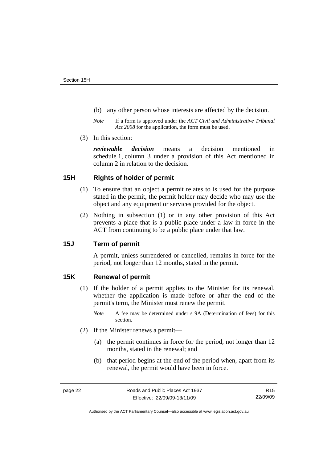- <span id="page-27-0"></span>(b) any other person whose interests are affected by the decision.
- *Note* If a form is approved under the *ACT Civil and Administrative Tribunal Act 2008* for the application, the form must be used.
- (3) In this section:

*reviewable decision* means a decision mentioned in schedule 1, column 3 under a provision of this Act mentioned in column 2 in relation to the decision.

## **15H Rights of holder of permit**

- (1) To ensure that an object a permit relates to is used for the purpose stated in the permit, the permit holder may decide who may use the object and any equipment or services provided for the object.
- (2) Nothing in subsection (1) or in any other provision of this Act prevents a place that is a public place under a law in force in the ACT from continuing to be a public place under that law.

## **15J Term of permit**

A permit, unless surrendered or cancelled, remains in force for the period, not longer than 12 months, stated in the permit.

## **15K Renewal of permit**

- (1) If the holder of a permit applies to the Minister for its renewal, whether the application is made before or after the end of the permit's term, the Minister must renew the permit.
	- *Note* A fee may be determined under s 9A (Determination of fees) for this section.
- (2) If the Minister renews a permit—
	- (a) the permit continues in force for the period, not longer than 12 months, stated in the renewal; and
	- (b) that period begins at the end of the period when, apart from its renewal, the permit would have been in force.

R15 22/09/09

Authorised by the ACT Parliamentary Counsel—also accessible at www.legislation.act.gov.au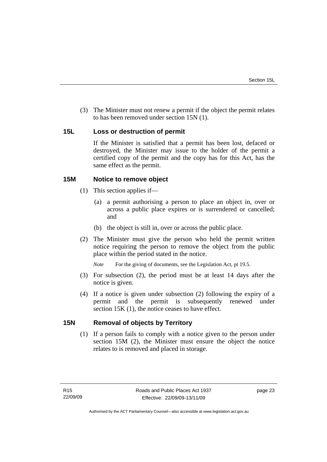<span id="page-28-0"></span> (3) The Minister must not renew a permit if the object the permit relates to has been removed under section 15N (1).

## **15L Loss or destruction of permit**

If the Minister is satisfied that a permit has been lost, defaced or destroyed, the Minister may issue to the holder of the permit a certified copy of the permit and the copy has for this Act, has the same effect as the permit.

## **15M Notice to remove object**

- (1) This section applies if—
	- (a) a permit authorising a person to place an object in, over or across a public place expires or is surrendered or cancelled; and
	- (b) the object is still in, over or across the public place.
- (2) The Minister must give the person who held the permit written notice requiring the person to remove the object from the public place within the period stated in the notice.

*Note* For the giving of documents, see the Legislation Act, pt 19.5.

- (3) For subsection (2), the period must be at least 14 days after the notice is given.
- (4) If a notice is given under subsection (2) following the expiry of a permit and the permit is subsequently renewed under section 15K (1), the notice ceases to have effect.

## **15N Removal of objects by Territory**

 (1) If a person fails to comply with a notice given to the person under section 15M (2), the Minister must ensure the object the notice relates to is removed and placed in storage.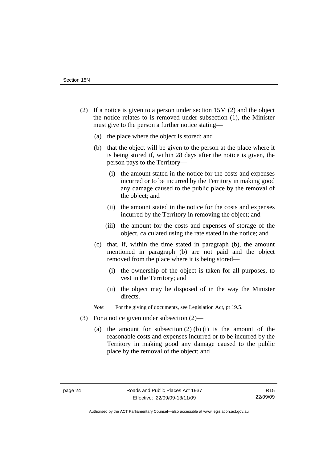- (2) If a notice is given to a person under section 15M (2) and the object the notice relates to is removed under subsection (1), the Minister must give to the person a further notice stating—
	- (a) the place where the object is stored; and
	- (b) that the object will be given to the person at the place where it is being stored if, within 28 days after the notice is given, the person pays to the Territory—
		- (i) the amount stated in the notice for the costs and expenses incurred or to be incurred by the Territory in making good any damage caused to the public place by the removal of the object; and
		- (ii) the amount stated in the notice for the costs and expenses incurred by the Territory in removing the object; and
		- (iii) the amount for the costs and expenses of storage of the object, calculated using the rate stated in the notice; and
	- (c) that, if, within the time stated in paragraph (b), the amount mentioned in paragraph (b) are not paid and the object removed from the place where it is being stored—
		- (i) the ownership of the object is taken for all purposes, to vest in the Territory; and
		- (ii) the object may be disposed of in the way the Minister directs.

*Note* For the giving of documents, see Legislation Act, pt 19.5.

- (3) For a notice given under subsection (2)—
	- (a) the amount for subsection  $(2)$  (b) (i) is the amount of the reasonable costs and expenses incurred or to be incurred by the Territory in making good any damage caused to the public place by the removal of the object; and

Authorised by the ACT Parliamentary Counsel—also accessible at www.legislation.act.gov.au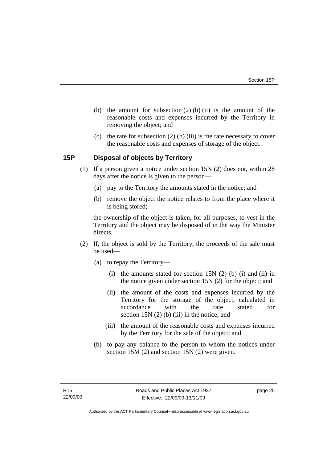- <span id="page-30-0"></span>(b) the amount for subsection  $(2)$  (b) (ii) is the amount of the reasonable costs and expenses incurred by the Territory in removing the object; and
- (c) the rate for subsection  $(2)$  (b) (iii) is the rate necessary to cover the reasonable costs and expenses of storage of the object.

## **15P Disposal of objects by Territory**

- (1) If a person given a notice under section 15N (2) does not, within 28 days after the notice is given to the person—
	- (a) pay to the Territory the amounts stated in the notice; and
	- (b) remove the object the notice relates to from the place where it is being stored;

the ownership of the object is taken, for all purposes, to vest in the Territory and the object may be disposed of in the way the Minister directs.

- (2) If, the object is sold by the Territory, the proceeds of the sale must be used—
	- (a) to repay the Territory—
		- (i) the amounts stated for section 15N  $(2)$  (b) (i) and (ii) in the notice given under section 15N (2) for the object; and
		- (ii) the amount of the costs and expenses incurred by the Territory for the storage of the object, calculated in accordance with the rate stated for section 15N (2) (b) (iii) in the notice; and
		- (iii) the amount of the reasonable costs and expenses incurred by the Territory for the sale of the object; and
	- (b) to pay any balance to the person to whom the notices under section 15M (2) and section 15N (2) were given.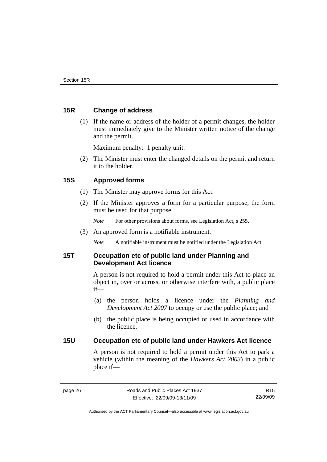## <span id="page-31-0"></span>**15R Change of address**

 (1) If the name or address of the holder of a permit changes, the holder must immediately give to the Minister written notice of the change and the permit.

Maximum penalty: 1 penalty unit.

 (2) The Minister must enter the changed details on the permit and return it to the holder.

## **15S Approved forms**

- (1) The Minister may approve forms for this Act.
- (2) If the Minister approves a form for a particular purpose, the form must be used for that purpose.
	- *Note* For other provisions about forms, see Legislation Act, s 255.
- (3) An approved form is a notifiable instrument.

*Note* A notifiable instrument must be notified under the Legislation Act.

## **15T Occupation etc of public land under Planning and Development Act licence**

A person is not required to hold a permit under this Act to place an object in, over or across, or otherwise interfere with, a public place if—

- (a) the person holds a licence under the *Planning and Development Act 2007* to occupy or use the public place; and
- (b) the public place is being occupied or used in accordance with the licence.

## **15U Occupation etc of public land under Hawkers Act licence**

A person is not required to hold a permit under this Act to park a vehicle (within the meaning of the *Hawkers Act 2003*) in a public place if—

R15 22/09/09

Authorised by the ACT Parliamentary Counsel—also accessible at www.legislation.act.gov.au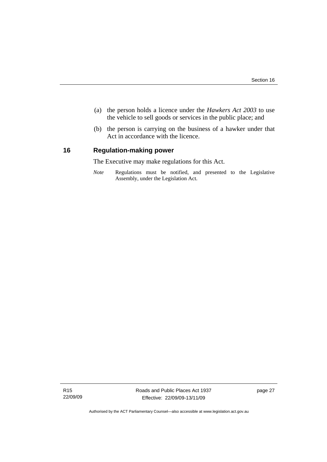- <span id="page-32-0"></span> (a) the person holds a licence under the *Hawkers Act 2003* to use the vehicle to sell goods or services in the public place; and
- (b) the person is carrying on the business of a hawker under that Act in accordance with the licence.

## **16 Regulation-making power**

The Executive may make regulations for this Act.

*Note* Regulations must be notified, and presented to the Legislative Assembly, under the Legislation Act.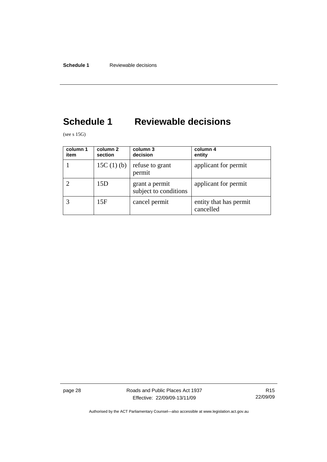## <span id="page-33-0"></span>**Schedule 1 Reviewable decisions**

(see s 15G)

| column 1<br>item | column 2<br>section | column 3<br>decision                    | column 4<br>entity                  |
|------------------|---------------------|-----------------------------------------|-------------------------------------|
|                  | 15C $(1)$ $(b)$     | refuse to grant<br>permit               | applicant for permit                |
|                  | 15D                 | grant a permit<br>subject to conditions | applicant for permit                |
|                  | 15F                 | cancel permit                           | entity that has permit<br>cancelled |

page 28 **Roads** and Public Places Act 1937 Effective: 22/09/09-13/11/09

R15 22/09/09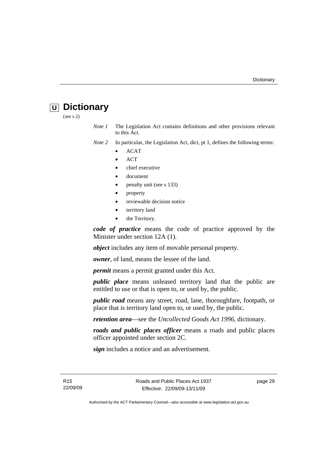## <span id="page-34-0"></span>*<u>U</u>* Dictionary

(see s 2)

*Note 1* The Legislation Act contains definitions and other provisions relevant to this Act.

*Note 2* In particular, the Legislation Act, dict, pt 1, defines the following terms:

- ACAT
- ACT
- chief executive
- document
- penalty unit (see s 133)
- property
- reviewable decision notice
- territory land
- the Territory.

*code of practice* means the code of practice approved by the Minister under section 12A (1).

*object* includes any item of movable personal property.

*owner*, of land, means the lessee of the land.

*permit* means a permit granted under this Act.

*public place* means unleased territory land that the public are entitled to use or that is open to, or used by, the public.

*public road* means any street, road, lane, thoroughfare, footpath, or place that is territory land open to, or used by, the public.

*retention area*—see the *Uncollected Goods Act 1996*, dictionary.

*roads and public places officer* means a roads and public places officer appointed under section 2C.

*sign* includes a notice and an advertisement.

R15 22/09/09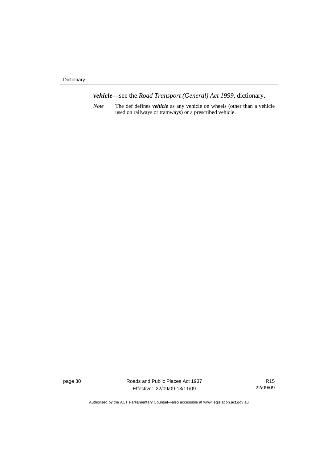Dictionary

*vehicle*—see the *Road Transport (General) Act 1999*, dictionary.

*Note* The def defines *vehicle* as any vehicle on wheels (other than a vehicle used on railways or tramways) or a prescribed vehicle.

page 30 Roads and Public Places Act 1937 Effective: 22/09/09-13/11/09

R15 22/09/09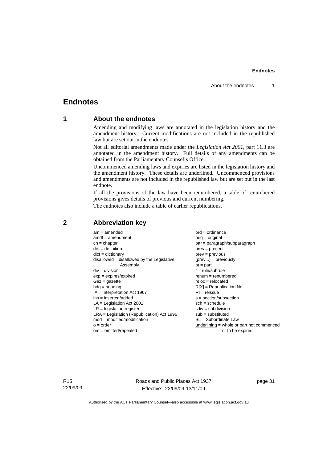## <span id="page-36-0"></span>**Endnotes**

## **1 About the endnotes**

Amending and modifying laws are annotated in the legislation history and the amendment history. Current modifications are not included in the republished law but are set out in the endnotes.

Not all editorial amendments made under the *Legislation Act 2001*, part 11.3 are annotated in the amendment history. Full details of any amendments can be obtained from the Parliamentary Counsel's Office.

Uncommenced amending laws and expiries are listed in the legislation history and the amendment history. These details are underlined. Uncommenced provisions and amendments are not included in the republished law but are set out in the last endnote.

If all the provisions of the law have been renumbered, a table of renumbered provisions gives details of previous and current numbering.

The endnotes also include a table of earlier republications.

| $dict = dictionary$<br>$prev = previous$<br>$disallowed = disallowed by the Legislative$<br>$(\text{prev}) = \text{previously}$<br>Assembly<br>$pt = part$<br>$div = division$<br>$r = rule/subrule$<br>$exp = expires/expired$<br>$remum = renumbered$<br>$Gaz = qazette$<br>$reloc = relocated$<br>$hdg =$ heading<br>$R[X]$ = Republication No<br>$IA = Interpretation Act 1967$<br>$RI = reissue$<br>$ins = inserted/added$<br>$s = section/subsection$<br>$LA =$ Legislation Act 2001<br>$sch = schedule$<br>$LR =$ legislation register<br>$sdiv = subdivision$<br>$LRA =$ Legislation (Republication) Act 1996<br>$sub =$ substituted<br>$mod = modified/modification$<br>SL = Subordinate Law<br>underlining = whole or part not commenced<br>$o = order$ |  |
|-------------------------------------------------------------------------------------------------------------------------------------------------------------------------------------------------------------------------------------------------------------------------------------------------------------------------------------------------------------------------------------------------------------------------------------------------------------------------------------------------------------------------------------------------------------------------------------------------------------------------------------------------------------------------------------------------------------------------------------------------------------------|--|
| $om = omitted/repealed$<br>or to be expired                                                                                                                                                                                                                                                                                                                                                                                                                                                                                                                                                                                                                                                                                                                       |  |

## **2 Abbreviation key**

R15 22/09/09 Roads and Public Places Act 1937 Effective: 22/09/09-13/11/09

page 31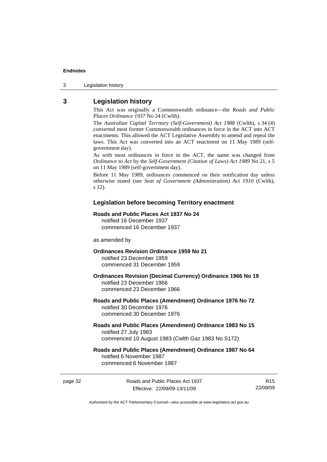<span id="page-37-0"></span>3 Legislation history

## **3 Legislation history**

This Act was originally a Commonwealth ordinance—the *Roads and Public Places Ordinance 1937* No 24 (Cwlth).

The *Australian Capital Territory (Self-Government) Act 1988* (Cwlth), s 34 (4) converted most former Commonwealth ordinances in force in the ACT into ACT enactments. This allowed the ACT Legislative Assembly to amend and repeal the laws. This Act was converted into an ACT enactment on 11 May 1989 (selfgovernment day).

As with most ordinances in force in the ACT, the name was changed from *Ordinance* to *Act* by the *Self-Government (Citation of Laws) Act 1989* No 21, s 5 on 11 May 1989 (self-government day).

Before 11 May 1989, ordinances commenced on their notification day unless otherwise stated (see *Seat of Government (Administration) Act 1910* (Cwlth), s 12).

#### **Legislation before becoming Territory enactment**

#### **Roads and Public Places Act 1937 No 24**

notified 16 December 1937 commenced 16 December 1937

as amended by

#### **Ordinances Revision Ordinance 1959 No 21**  notified 23 December 1959

commenced 31 December 1959

#### **Ordinances Revision (Decimal Currency) Ordinance 1966 No 19**  notified 23 December 1966 commenced 23 December 1966

#### **Roads and Public Places (Amendment) Ordinance 1976 No 72**  notified 30 December 1976 commenced 30 December 1976

#### **Roads and Public Places (Amendment) Ordinance 1983 No 15**  notified 27 July 1983 commenced 10 August 1983 (Cwlth Gaz 1983 No S172)

### **Roads and Public Places (Amendment) Ordinance 1987 No 64**  notified 6 November 1987 commenced 6 November 1987

page 32 Roads and Public Places Act 1937 Effective: 22/09/09-13/11/09

R15 22/09/09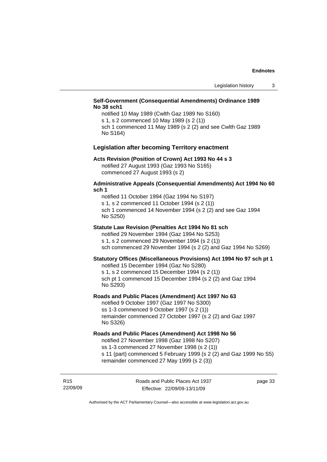#### **Self-Government (Consequential Amendments) Ordinance 1989 No 38 sch1**

notified 10 May 1989 (Cwlth Gaz 1989 No S160) s 1, s 2 commenced 10 May 1989 (s 2 (1)) sch 1 commenced 11 May 1989 (s 2 (2) and see Cwlth Gaz 1989 No S164)

#### **Legislation after becoming Territory enactment**

#### **Acts Revision (Position of Crown) Act 1993 No 44 s 3**

notified 27 August 1993 (Gaz 1993 No S165) commenced 27 August 1993 (s 2)

#### **Administrative Appeals (Consequential Amendments) Act 1994 No 60 sch 1**

notified 11 October 1994 (Gaz 1994 No S197) s 1, s 2 commenced 11 October 1994 (s 2 (1)) sch 1 commenced 14 November 1994 (s 2 (2) and see Gaz 1994 No S250)

#### **Statute Law Revision (Penalties Act 1994 No 81 sch**

notified 29 November 1994 (Gaz 1994 No S253) s 1, s 2 commenced 29 November 1994 (s 2 (1)) sch commenced 29 November 1994 (s 2 (2) and Gaz 1994 No S269)

#### **Statutory Offices (Miscellaneous Provisions) Act 1994 No 97 sch pt 1**

notified 15 December 1994 (Gaz No S280) s 1, s 2 commenced 15 December 1994 (s 2 (1)) sch pt 1 commenced 15 December 1994 (s 2 (2) and Gaz 1994 No S293)

#### **Roads and Public Places (Amendment) Act 1997 No 63**

notified 9 October 1997 (Gaz 1997 No S300) ss 1-3 commenced 9 October 1997 (s 2 (1)) remainder commenced 27 October 1997 (s 2 (2) and Gaz 1997 No S326)

#### **Roads and Public Places (Amendment) Act 1998 No 56**

notified 27 November 1998 (Gaz 1998 No S207) ss 1-3 commenced 27 November 1998 (s 2 (1)) s 11 (part) commenced 5 February 1999 (s 2 (2) and Gaz 1999 No S5)

remainder commenced 27 May 1999 (s 2 (3))

R15 22/09/09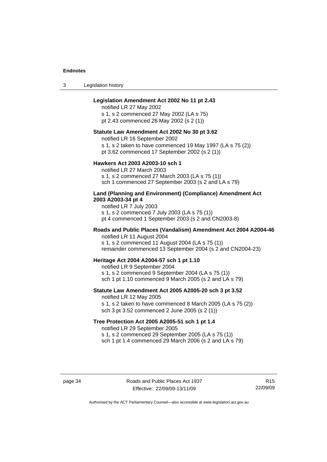3 Legislation history

#### **Legislation Amendment Act 2002 No 11 pt 2.43**

notified LR 27 May 2002 s 1, s 2 commenced 27 May 2002 (LA s 75)

pt 2.43 commenced 28 May 2002 (s 2 (1))

#### **Statute Law Amendment Act 2002 No 30 pt 3.62**

notified LR 16 September 2002

s 1, s 2 taken to have commenced 19 May 1997 (LA s 75 (2))

pt 3.62 commenced 17 September 2002 (s 2 (1))

#### **Hawkers Act 2003 A2003-10 sch 1**

notified LR 27 March 2003 s 1, s 2 commenced 27 March 2003 (LA s 75 (1)) sch 1 commenced 27 September 2003 (s 2 and LA s 79)

#### **Land (Planning and Environment) (Compliance) Amendment Act 2003 A2003-34 pt 4**

notified LR 7 July 2003 s 1, s 2 commenced 7 July 2003 (LA s 75 (1)) pt 4 commenced 1 September 2003 (s 2 and CN2003-8)

#### **Roads and Public Places (Vandalism) Amendment Act 2004 A2004-46**  notified LR 11 August 2004

s 1, s 2 commenced 11 August 2004 (LA s 75 (1)) remainder commenced 13 September 2004 (s 2 and CN2004-23)

#### **Heritage Act 2004 A2004-57 sch 1 pt 1.10**

notified LR 9 September 2004 s 1, s 2 commenced 9 September 2004 (LA s 75 (1)) sch 1 pt 1.10 commenced 9 March 2005 (s 2 and LA s 79)

## **Statute Law Amendment Act 2005 A2005-20 sch 3 pt 3.52**

notified LR 12 May 2005 s 1, s 2 taken to have commenced 8 March 2005 (LA s 75 (2)) sch 3 pt 3.52 commenced 2 June 2005 (s 2 (1))

#### **Tree Protection Act 2005 A2005-51 sch 1 pt 1.4**

notified LR 29 September 2005

s 1, s 2 commenced 29 September 2005 (LA s 75 (1))

sch 1 pt 1.4 commenced 29 March 2006 (s 2 and LA s 79)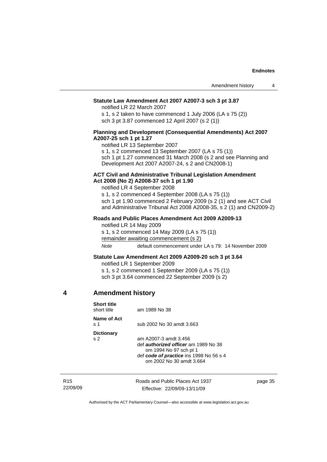#### <span id="page-40-0"></span>**Statute Law Amendment Act 2007 A2007-3 sch 3 pt 3.87**

notified LR 22 March 2007

s 1, s 2 taken to have commenced 1 July 2006 (LA s 75 (2)) sch 3 pt 3.87 commenced 12 April 2007 (s 2 (1))

#### **Planning and Development (Consequential Amendments) Act 2007 A2007-25 sch 1 pt 1.27**

notified LR 13 September 2007

s 1, s 2 commenced 13 September 2007 (LA s 75 (1))

sch 1 pt 1.27 commenced 31 March 2008 (s 2 and see Planning and Development Act 2007 A2007-24, s 2 and CN2008-1)

#### **ACT Civil and Administrative Tribunal Legislation Amendment Act 2008 (No 2) A2008-37 sch 1 pt 1.90**

notified LR 4 September 2008

s 1, s 2 commenced 4 September 2008 (LA s 75 (1)) sch 1 pt 1.90 commenced 2 February 2009 (s 2 (1) and see ACT Civil and Administrative Tribunal Act 2008 A2008-35, s 2 (1) and CN2009-2)

#### **Roads and Public Places Amendment Act 2009 A2009-13**

notified LR 14 May 2009 s 1, s 2 commenced 14 May 2009 (LA s 75 (1)) remainder awaiting commencement (s 2) *Note* default commencement under LA s 79: 14 November 2009

#### **Statute Law Amendment Act 2009 A2009-20 sch 3 pt 3.64**

notified LR 1 September 2009 s 1, s 2 commenced 1 September 2009 (LA s 75 (1)) sch 3 pt 3.64 commenced 22 September 2009 (s 2)

## **4 Amendment history**

| <b>Short title</b><br>short title   | am 1989 No 38                                                                                                                                                         |
|-------------------------------------|-----------------------------------------------------------------------------------------------------------------------------------------------------------------------|
| Name of Act<br>.s. 1                | sub 2002 No 30 amdt 3.663                                                                                                                                             |
| <b>Dictionary</b><br>s <sub>2</sub> | am A2007-3 amdt 3.456<br>def <i>authorized officer</i> am 1989 No 38<br>om 1994 No 97 sch pt 1<br>def code of practice ins 1998 No 56 s 4<br>om 2002 No 30 amdt 3.664 |

| R <sub>15</sub> | Roads and Public Places Act 1937 | page 35 |
|-----------------|----------------------------------|---------|
| 22/09/09        | Effective: 22/09/09-13/11/09     |         |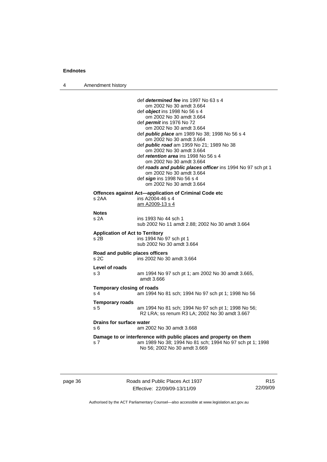4 Amendment history

|                                                    | def determined fee ins 1997 No 63 s 4<br>om 2002 No 30 amdt 3.664<br>def <i>object</i> ins 1998 No 56 s 4<br>om 2002 No 30 amdt 3.664<br>def <i>permit</i> ins 1976 No 72<br>om 2002 No 30 amdt 3.664<br>def <i>public place</i> am 1989 No 38; 1998 No 56 s 4<br>om 2002 No 30 amdt 3.664<br>def <i>public road</i> am 1959 No 21; 1989 No 38<br>om 2002 No 30 amdt 3.664<br>def <i>retention area</i> ins 1998 No 56 s 4<br>om 2002 No 30 amdt 3.664 |
|----------------------------------------------------|--------------------------------------------------------------------------------------------------------------------------------------------------------------------------------------------------------------------------------------------------------------------------------------------------------------------------------------------------------------------------------------------------------------------------------------------------------|
|                                                    | def roads and public places officer ins 1994 No 97 sch pt 1<br>om 2002 No 30 amdt 3.664<br>def sign ins 1998 No 56 s 4<br>om 2002 No 30 amdt 3.664                                                                                                                                                                                                                                                                                                     |
| s 2AA                                              | Offences against Act-application of Criminal Code etc<br>ins A2004-46 s 4<br>am A2009-13 s 4                                                                                                                                                                                                                                                                                                                                                           |
| <b>Notes</b><br>s 2A                               | ins 1993 No 44 sch 1<br>sub 2002 No 11 amdt 2.88; 2002 No 30 amdt 3.664                                                                                                                                                                                                                                                                                                                                                                                |
| <b>Application of Act to Territory</b><br>$s$ 2B   | ins 1994 No 97 sch pt 1<br>sub 2002 No 30 amdt 3.664                                                                                                                                                                                                                                                                                                                                                                                                   |
| Road and public places officers<br>s <sub>2C</sub> | ins 2002 No 30 amdt 3.664                                                                                                                                                                                                                                                                                                                                                                                                                              |
| Level of roads<br>s 3                              | am 1994 No 97 sch pt 1; am 2002 No 30 amdt 3.665,<br>amdt 3.666                                                                                                                                                                                                                                                                                                                                                                                        |
| Temporary closing of roads<br>s <sub>4</sub>       | am 1994 No 81 sch; 1994 No 97 sch pt 1; 1998 No 56                                                                                                                                                                                                                                                                                                                                                                                                     |
| <b>Temporary roads</b><br>s <sub>5</sub>           | am 1994 No 81 sch; 1994 No 97 sch pt 1; 1998 No 56;<br>R2 LRA; ss renum R3 LA; 2002 No 30 amdt 3.667                                                                                                                                                                                                                                                                                                                                                   |
| <b>Drains for surface water</b><br>s 6             | am 2002 No 30 amdt 3.668                                                                                                                                                                                                                                                                                                                                                                                                                               |
| s 7                                                | Damage to or interference with public places and property on them<br>am 1989 No 38; 1994 No 81 sch; 1994 No 97 sch pt 1; 1998<br>No 56; 2002 No 30 amdt 3.669                                                                                                                                                                                                                                                                                          |
|                                                    |                                                                                                                                                                                                                                                                                                                                                                                                                                                        |

page 36 Roads and Public Places Act 1937 Effective: 22/09/09-13/11/09

R15 22/09/09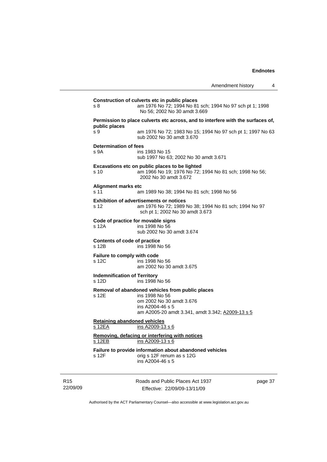| s 8                                           | am 1976 No 72; 1994 No 81 sch; 1994 No 97 sch pt 1; 1998<br>No 56; 2002 No 30 amdt 3.669                                                                               |
|-----------------------------------------------|------------------------------------------------------------------------------------------------------------------------------------------------------------------------|
| public places                                 | Permission to place culverts etc across, and to interfere with the surfaces of,                                                                                        |
| S <sub>9</sub>                                | am 1976 No 72; 1983 No 15; 1994 No 97 sch pt 1; 1997 No 63<br>sub 2002 No 30 amdt 3.670                                                                                |
| <b>Determination of fees</b><br>s 9A          | ins 1983 No 15<br>sub 1997 No 63; 2002 No 30 amdt 3.671                                                                                                                |
| s 10                                          | Excavations etc on public places to be lighted<br>am 1966 No 19; 1976 No 72; 1994 No 81 sch; 1998 No 56;<br>2002 No 30 amdt 3.672                                      |
| Alignment marks etc<br>s 11                   | am 1989 No 38; 1994 No 81 sch; 1998 No 56                                                                                                                              |
| s 12                                          | <b>Exhibition of advertisements or notices</b><br>am 1976 No 72; 1989 No 38; 1994 No 81 sch; 1994 No 97<br>sch pt 1; 2002 No 30 amdt 3.673                             |
| s 12A                                         | Code of practice for movable signs<br>ins 1998 No 56<br>sub 2002 No 30 amdt 3.674                                                                                      |
| <b>Contents of code of practice</b><br>s 12B  | ins 1998 No 56                                                                                                                                                         |
| Failure to comply with code<br>s 12C          | ins 1998 No 56<br>am 2002 No 30 amdt 3.675                                                                                                                             |
| <b>Indemnification of Territory</b><br>s 12D  | ins 1998 No 56                                                                                                                                                         |
| s 12E                                         | Removal of abandoned vehicles from public places<br>ins 1998 No 56<br>om 2002 No 30 amdt 3.676<br>ins A2004-46 s 5<br>am A2005-20 amdt 3.341, amdt 3.342; A2009-13 s 5 |
| <b>Retaining abandoned vehicles</b><br>s 12EA | ins A2009-13 s 6                                                                                                                                                       |
| $s$ 12EB                                      | Removing, defacing or interfering with notices<br>ins A2009-13 s 6                                                                                                     |
| s 12F                                         | Failure to provide information about abandoned vehicles<br>orig s 12F renum as s 12G<br>ins A2004-46 s 5                                                               |

R15 22/09/09 Roads and Public Places Act 1937 Effective: 22/09/09-13/11/09

page 37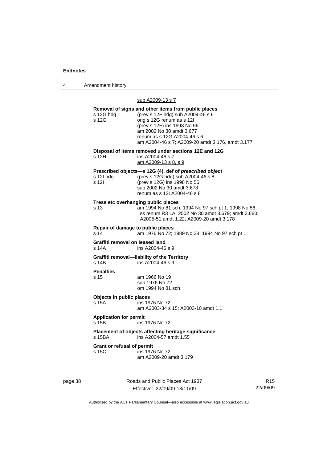4 Amendment history

### sub A2009-13 s 7

| s 12G hdg<br>s 12G                         | Removal of signs and other items from public places<br>(prev s 12F hdg) sub A2004-46 s 6<br>orig s 12G renum as s 12l<br>(prev s 12F) ins 1998 No 56<br>am 2002 No 30 amdt 3.677<br>renum as s 12G A2004-46 s 6<br>am A2004-46 s 7; A2009-20 amdt 3.176, amdt 3.177 |
|--------------------------------------------|---------------------------------------------------------------------------------------------------------------------------------------------------------------------------------------------------------------------------------------------------------------------|
| s 12H                                      | Disposal of items removed under sections 12E and 12G<br>ins A2004-46 s 7<br>am A2009-13 s 8, s 9                                                                                                                                                                    |
| s 12l hdg<br>s 12l                         | Prescribed objects-s 12G (4), def of prescribed object<br>(prev s 12G hdg) sub A2004-46 s 8<br>(prev s 12G) ins 1998 No 56<br>sub 2002 No 30 amdt 3.678<br>renum as s 121 A2004-46 s 8                                                                              |
| s 13                                       | Tress etc overhanging public places<br>am 1994 No 81 sch; 1994 No 97 sch pt 1; 1998 No 56;<br>ss renum R3 LA; 2002 No 30 amdt 3.679; amdt 3.680;<br>A2005-51 amdt 1.22; A2009-20 amdt 3.178                                                                         |
| Repair of damage to public places<br>s 14  | am 1976 No 72; 1989 No 38; 1994 No 97 sch pt 1                                                                                                                                                                                                                      |
| Graffiti removal on leased land<br>s 14A   | ins A2004-46 s 9                                                                                                                                                                                                                                                    |
| s 14B                                      | Graffiti removal-liability of the Territory<br>ins A2004-46 s 9                                                                                                                                                                                                     |
| <b>Penalties</b><br>s 15                   | am 1966 No 19<br>sub 1976 No 72<br>om 1994 No 81 sch                                                                                                                                                                                                                |
| Objects in public places<br>s 15A          | ins 1976 No 72<br>am A2003-34 s 15; A2003-10 amdt 1.1                                                                                                                                                                                                               |
| <b>Application for permit</b><br>s 15B     | ins 1976 No 72                                                                                                                                                                                                                                                      |
| s 15BA                                     | Placement of objects affecting heritage significance<br>ins A2004-57 amdt 1.55                                                                                                                                                                                      |
| <b>Grant or refusal of permit</b><br>s 15C | ins 1976 No 72<br>am A2009-20 amdt 3.179                                                                                                                                                                                                                            |

page 38 Roads and Public Places Act 1937 Effective: 22/09/09-13/11/09

R15 22/09/09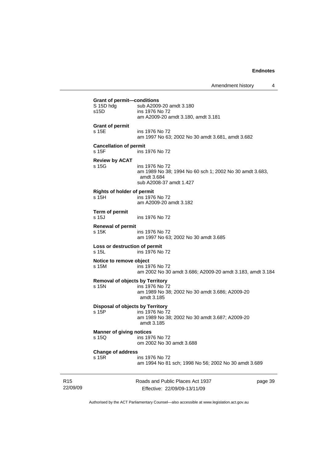Amendment history 4

Roads and Public Places Act 1937 **Grant of permit—conditions**  S 15D hdg sub A2009-20 amdt 3.180<br>s15D ins 1976 No 72 ins 1976 No 72 am A2009-20 amdt 3.180, amdt 3.181 **Grant of permit**  s 15E ins 1976 No 72 am 1997 No 63; 2002 No 30 amdt 3.681, amdt 3.682 **Cancellation of permit**  s 15F ins 1976 No 72 **Review by ACAT**  s 15G ins 1976 No 72 am 1989 No 38; 1994 No 60 sch 1; 2002 No 30 amdt 3.683, amdt 3.684 sub A2008-37 amdt 1.427 **Rights of holder of permit**  ins 1976 No 72 am A2009-20 amdt 3.182 **Term of permit**  ins 1976 No 72 **Renewal of permit**  s 15K ins 1976 No 72 am 1997 No 63; 2002 No 30 amdt 3.685 **Loss or destruction of permit**  s 15L ins 1976 No 72 **Notice to remove object**  s 15M ins 1976 No 72 am 2002 No 30 amdt 3.686; A2009-20 amdt 3.183, amdt 3.184 **Removal of objects by Territory**<br>s 15N ins 1976 No 7 ins 1976 No 72 am 1989 No 38; 2002 No 30 amdt 3.686; A2009-20 amdt 3.185 **Disposal of objects by Territory**  s 15P ins 1976 No 72 am 1989 No 38; 2002 No 30 amdt 3.687; A2009-20 amdt 3.185 **Manner of giving notices**  s 15Q ins 1976 No 72 om 2002 No 30 amdt 3.688 **Change of address**  ins 1976 No 72 am 1994 No 81 sch; 1998 No 56; 2002 No 30 amdt 3.689

R15 22/09/09

Effective: 22/09/09-13/11/09

page 39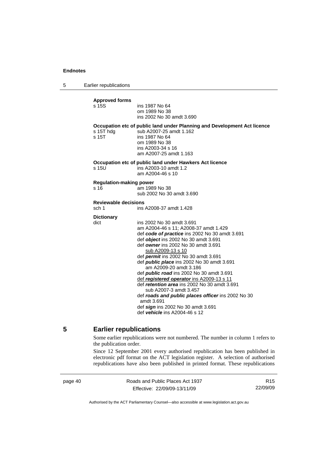<span id="page-45-0"></span>5 Earlier republications

| <b>Approved forms</b><br>s 15S         | ins 1987 No 64<br>om 1989 No 38<br>ins 2002 No 30 amdt 3.690                                                                                                                                                                                                                                                                                                                                                                                                                                                                                                                                                                                                                 |
|----------------------------------------|------------------------------------------------------------------------------------------------------------------------------------------------------------------------------------------------------------------------------------------------------------------------------------------------------------------------------------------------------------------------------------------------------------------------------------------------------------------------------------------------------------------------------------------------------------------------------------------------------------------------------------------------------------------------------|
| s 15T hdg<br>s 15T                     | Occupation etc of public land under Planning and Development Act licence<br>sub A2007-25 amdt 1.162<br>ins 1987 No 64<br>om 1989 No 38<br>ins A2003-34 s 16<br>am A2007-25 amdt 1.163                                                                                                                                                                                                                                                                                                                                                                                                                                                                                        |
| s 15U                                  | Occupation etc of public land under Hawkers Act licence<br>ins A2003-10 amdt 1.2<br>am A2004-46 s 10                                                                                                                                                                                                                                                                                                                                                                                                                                                                                                                                                                         |
| <b>Regulation-making power</b><br>s 16 | am 1989 No 38<br>sub 2002 No 30 amdt 3.690                                                                                                                                                                                                                                                                                                                                                                                                                                                                                                                                                                                                                                   |
| <b>Reviewable decisions</b><br>sch 1   | ins A2008-37 amdt 1.428                                                                                                                                                                                                                                                                                                                                                                                                                                                                                                                                                                                                                                                      |
| <b>Dictionary</b><br>dict              | ins 2002 No 30 amdt 3.691<br>am A2004-46 s 11; A2008-37 amdt 1.429<br>def code of practice ins 2002 No 30 amdt 3.691<br>def object ins 2002 No 30 amdt 3.691<br>def owner ins 2002 No 30 amdt 3.691<br>sub A2009-13 s 10<br>def <i>permit</i> ins 2002 No 30 amdt 3.691<br>def <b>public place</b> ins 2002 No 30 amdt 3.691<br>am A2009-20 amdt 3.186<br>def <i>public road</i> ins 2002 No 30 amdt 3.691<br>def registered operator ins A2009-13 s 11<br>def retention area ins 2002 No 30 amdt 3.691<br>sub A2007-3 amdt 3.457<br>def roads and public places officer ins 2002 No 30<br>amdt 3.691<br>def sign ins 2002 No 30 amdt 3.691<br>def vehicle ins A2004-46 s 12 |

## **5 Earlier republications**

Some earlier republications were not numbered. The number in column 1 refers to the publication order.

Since 12 September 2001 every authorised republication has been published in electronic pdf format on the ACT legislation register. A selection of authorised republications have also been published in printed format. These republications

page 40 Roads and Public Places Act 1937 Effective: 22/09/09-13/11/09

R15 22/09/09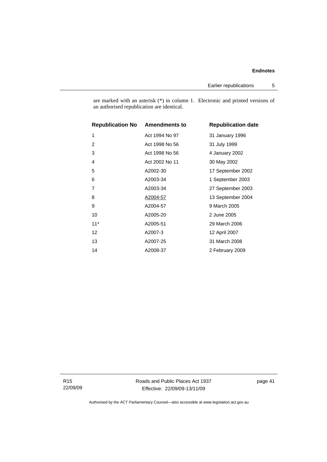Earlier republications 5

are marked with an asterisk (\*) in column 1. Electronic and printed versions of an authorised republication are identical.

| <b>Republication No Amendments to</b> |                | <b>Republication date</b> |
|---------------------------------------|----------------|---------------------------|
| 1                                     | Act 1994 No 97 | 31 January 1996           |
| $\overline{2}$                        | Act 1998 No 56 | 31 July 1999              |
| 3                                     | Act 1998 No 56 | 4 January 2002            |
| 4                                     | Act 2002 No 11 | 30 May 2002               |
| 5                                     | A2002-30       | 17 September 2002         |
| 6                                     | A2003-34       | 1 September 2003          |
| $\overline{7}$                        | A2003-34       | 27 September 2003         |
| 8                                     | A2004-57       | 13 September 2004         |
| 9                                     | A2004-57       | 9 March 2005              |
| 10                                    | A2005-20       | 2 June 2005               |
| $11*$                                 | A2005-51       | 29 March 2006             |
| 12                                    | A2007-3        | 12 April 2007             |
| 13                                    | A2007-25       | 31 March 2008             |
| 14                                    | A2008-37       | 2 February 2009           |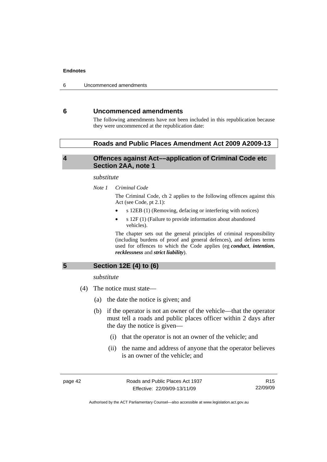## <span id="page-47-0"></span>**6 Uncommenced amendments**

The following amendments have not been included in this republication because they were uncommenced at the republication date:

### **Roads and Public Places Amendment Act 2009 A2009-13**

## **4 Offences against Act––application of Criminal Code etc Section 2AA, note 1**

#### *substitute*

*Note 1 Criminal Code*

The Criminal Code, ch 2 applies to the following offences against this Act (see Code, pt 2.1):

- s 12EB (1) (Removing, defacing or interfering with notices)
- s 12F (1) (Failure to provide information about abandoned vehicles).

The chapter sets out the general principles of criminal responsibility (including burdens of proof and general defences), and defines terms used for offences to which the Code applies (eg *conduct*, *intention*, *recklessness* and *strict liability*).

**5 Section 12E (4) to (6)** 

*substitute* 

- (4) The notice must state––
	- (a) the date the notice is given; and
	- (b) if the operator is not an owner of the vehicle––that the operator must tell a roads and public places officer within 2 days after the day the notice is given––
		- (i) that the operator is not an owner of the vehicle; and
		- (ii) the name and address of anyone that the operator believes is an owner of the vehicle; and

page 42 Roads and Public Places Act 1937 Effective: 22/09/09-13/11/09

R15 22/09/09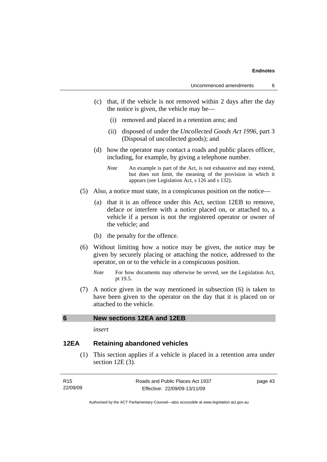- (c) that, if the vehicle is not removed within 2 days after the day the notice is given, the vehicle may be––
	- (i) removed and placed in a retention area; and
	- (ii) disposed of under the *Uncollected Goods Act 1996*, part 3 (Disposal of uncollected goods); and
- (d) how the operator may contact a roads and public places officer, including, for example, by giving a telephone number.
	- *Note* An example is part of the Act, is not exhaustive and may extend, but does not limit, the meaning of the provision in which it appears (see Legislation Act, s 126 and s 132).
- (5) Also, a notice must state, in a conspicuous position on the notice—
	- (a) that it is an offence under this Act, section 12EB to remove, deface or interfere with a notice placed on, or attached to, a vehicle if a person is not the registered operator or owner of the vehicle; and
	- (b) the penalty for the offence.
- (6) Without limiting how a notice may be given, the notice may be given by securely placing or attaching the notice, addressed to the operator, on or to the vehicle in a conspicuous position.
	- *Note* For how documents may otherwise be served, see the Legislation Act, pt 19.5.
- (7) A notice given in the way mentioned in subsection (6) is taken to have been given to the operator on the day that it is placed on or attached to the vehicle.

## **6 New sections 12EA and 12EB**

*insert* 

## **12EA Retaining abandoned vehicles**

 (1) This section applies if a vehicle is placed in a retention area under section 12E (3).

| R15      | Roads and Public Places Act 1937 | page 43 |
|----------|----------------------------------|---------|
| 22/09/09 | Effective: 22/09/09-13/11/09     |         |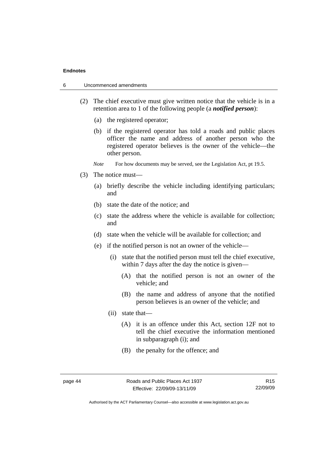- 6 Uncommenced amendments
	- (2) The chief executive must give written notice that the vehicle is in a retention area to 1 of the following people (a *notified person*):
		- (a) the registered operator;
		- (b) if the registered operator has told a roads and public places officer the name and address of another person who the registered operator believes is the owner of the vehicle—the other person.
		- *Note* For how documents may be served, see the Legislation Act, pt 19.5.
	- (3) The notice must––
		- (a) briefly describe the vehicle including identifying particulars; and
		- (b) state the date of the notice; and
		- (c) state the address where the vehicle is available for collection; and
		- (d) state when the vehicle will be available for collection; and
		- (e) if the notified person is not an owner of the vehicle—
			- (i) state that the notified person must tell the chief executive, within 7 days after the day the notice is given—
				- (A) that the notified person is not an owner of the vehicle; and
				- (B) the name and address of anyone that the notified person believes is an owner of the vehicle; and
			- (ii) state that—
				- (A) it is an offence under this Act, section 12F not to tell the chief executive the information mentioned in subparagraph (i); and
				- (B) the penalty for the offence; and

page 44 Roads and Public Places Act 1937 Effective: 22/09/09-13/11/09

R15 22/09/09

Authorised by the ACT Parliamentary Counsel—also accessible at www.legislation.act.gov.au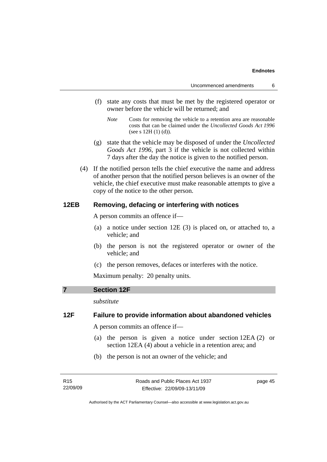- (f) state any costs that must be met by the registered operator or owner before the vehicle will be returned; and
	- *Note* Costs for removing the vehicle to a retention area are reasonable costs that can be claimed under the *Uncollected Goods Act 1996* (see s  $12H(1)(d)$ ).
- (g) state that the vehicle may be disposed of under the *Uncollected Goods Act 1996*, part 3 if the vehicle is not collected within 7 days after the day the notice is given to the notified person.
- (4) If the notified person tells the chief executive the name and address of another person that the notified person believes is an owner of the vehicle, the chief executive must make reasonable attempts to give a copy of the notice to the other person.

## **12EB Removing, defacing or interfering with notices**

A person commits an offence if––

- (a) a notice under section 12E (3) is placed on, or attached to, a vehicle; and
- (b) the person is not the registered operator or owner of the vehicle; and
- (c) the person removes, defaces or interferes with the notice.

Maximum penalty: 20 penalty units.

### **7 Section 12F**

*substitute* 

## **12F Failure to provide information about abandoned vehicles**

A person commits an offence if––

- (a) the person is given a notice under section 12EA (2) or section 12EA (4) about a vehicle in a retention area; and
- (b) the person is not an owner of the vehicle; and

page 45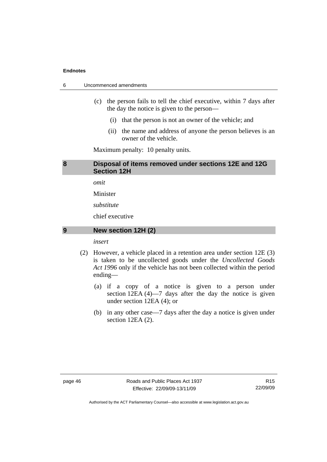6 Uncommenced amendments

- (c) the person fails to tell the chief executive, within 7 days after the day the notice is given to the person––
	- (i) that the person is not an owner of the vehicle; and
	- (ii) the name and address of anyone the person believes is an owner of the vehicle.

Maximum penalty: 10 penalty units.

## **8 Disposal of items removed under sections 12E and 12G Section 12H**

*omit* 

Minister

*substitute* 

chief executive

### **9 New section 12H (2)**

*insert* 

- (2) However, a vehicle placed in a retention area under section 12E (3) is taken to be uncollected goods under the *Uncollected Goods Act 1996* only if the vehicle has not been collected within the period ending––
	- (a) if a copy of a notice is given to a person under section 12EA (4)—7 days after the day the notice is given under section 12EA (4); or
	- (b) in any other case––7 days after the day a notice is given under section 12EA (2).